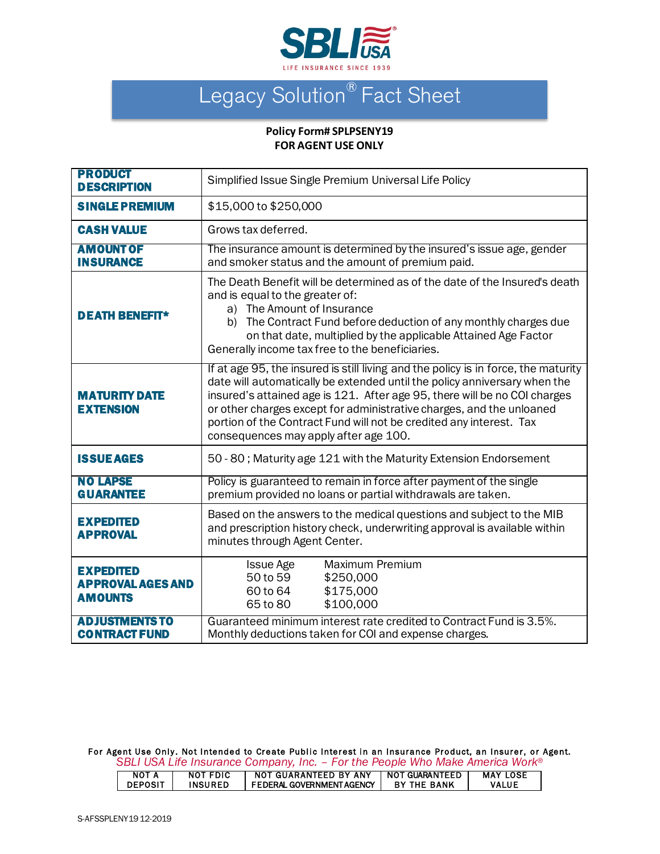

## Legacy Solution<sup>®</sup> Fact Sheet

## **Policy Form# SPLPSENY19 FOR AGENT USE ONLY**

| <b>PRODUCT</b><br><b>DESCRIPTION</b>                           | Simplified Issue Single Premium Universal Life Policy                                                                                                                                                                                                                                                                                                                                                                                |  |  |  |  |  |
|----------------------------------------------------------------|--------------------------------------------------------------------------------------------------------------------------------------------------------------------------------------------------------------------------------------------------------------------------------------------------------------------------------------------------------------------------------------------------------------------------------------|--|--|--|--|--|
| <b>SINGLE PREMIUM</b>                                          | \$15,000 to \$250,000                                                                                                                                                                                                                                                                                                                                                                                                                |  |  |  |  |  |
| <b>CASH VALUE</b>                                              | Grows tax deferred.                                                                                                                                                                                                                                                                                                                                                                                                                  |  |  |  |  |  |
| <b>AMOUNT OF</b><br><b>INSURANCE</b>                           | The insurance amount is determined by the insured's issue age, gender<br>and smoker status and the amount of premium paid.                                                                                                                                                                                                                                                                                                           |  |  |  |  |  |
| <b>DEATH BENEFIT*</b>                                          | The Death Benefit will be determined as of the date of the Insured's death<br>and is equal to the greater of:<br>a) The Amount of Insurance<br>b) The Contract Fund before deduction of any monthly charges due<br>on that date, multiplied by the applicable Attained Age Factor<br>Generally income tax free to the beneficiaries.                                                                                                 |  |  |  |  |  |
| <b>MATURITY DATE</b><br><b>EXTENSION</b>                       | If at age 95, the insured is still living and the policy is in force, the maturity<br>date will automatically be extended until the policy anniversary when the<br>insured's attained age is 121. After age 95, there will be no COI charges<br>or other charges except for administrative charges, and the unloaned<br>portion of the Contract Fund will not be credited any interest. Tax<br>consequences may apply after age 100. |  |  |  |  |  |
| <b>ISSUE AGES</b>                                              | 50 - 80; Maturity age 121 with the Maturity Extension Endorsement                                                                                                                                                                                                                                                                                                                                                                    |  |  |  |  |  |
| <b>NO LAPSE</b><br><b>GUARANTEE</b>                            | Policy is guaranteed to remain in force after payment of the single<br>premium provided no loans or partial withdrawals are taken.                                                                                                                                                                                                                                                                                                   |  |  |  |  |  |
| <b>EXPEDITED</b><br><b>APPROVAL</b>                            | Based on the answers to the medical questions and subject to the MIB<br>and prescription history check, underwriting approval is available within<br>minutes through Agent Center.                                                                                                                                                                                                                                                   |  |  |  |  |  |
| <b>EXPEDITED</b><br><b>APPROVAL AGES AND</b><br><b>AMOUNTS</b> | Maximum Premium<br><b>Issue Age</b><br>50 to 59<br>\$250,000<br>\$175,000<br>60 to 64<br>\$100,000<br>65 to 80                                                                                                                                                                                                                                                                                                                       |  |  |  |  |  |
| <b>ADJUSTMENTS TO</b><br><b>CONTRACT FUND</b>                  | Guaranteed minimum interest rate credited to Contract Fund is 3.5%.<br>Monthly deductions taken for COI and expense charges.                                                                                                                                                                                                                                                                                                         |  |  |  |  |  |

For Agent Use Only. Not Intended to Create Public Interest in an Insurance Product, an Insurer, or Agent. *SBLI USA Life Insurance Company, Inc. – For the People Who Make America Work®*

| NOT A          | <b>NOT FDIC</b> | NOT GUARANTEED BY ANY      | I NOT GUARANTEED.  | <b>MAY LOSE</b> |
|----------------|-----------------|----------------------------|--------------------|-----------------|
| <b>DEPOSIT</b> | <b>INSURED</b>  | I FEDERAL GOVERNMENTAGENCY | <b>BY THE BANK</b> | VALUE           |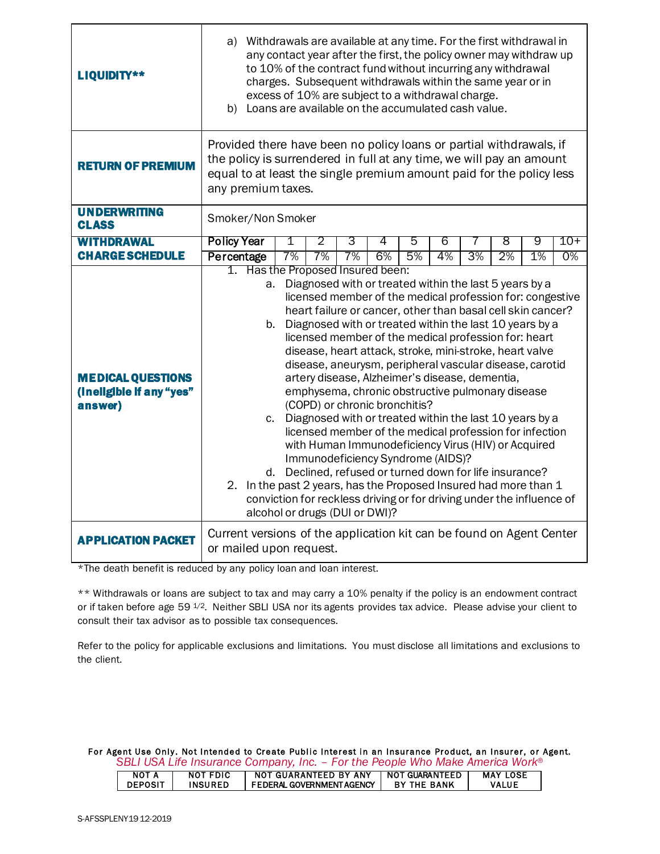| LIQUIDITY**                                                     | a) Withdrawals are available at any time. For the first withdrawal in<br>any contact year after the first, the policy owner may withdraw up<br>to 10% of the contract fund without incurring any withdrawal<br>charges. Subsequent withdrawals within the same year or in<br>excess of 10% are subject to a withdrawal charge.<br>b) Loans are available on the accumulated cash value. |         |         |         |                                                                                                                      |         |         |    |                                                                                                                                                                                                                                                                                                                                                                                                                                                                                                                                                                                                                                                                                                                                                                                                     |         |                |
|-----------------------------------------------------------------|-----------------------------------------------------------------------------------------------------------------------------------------------------------------------------------------------------------------------------------------------------------------------------------------------------------------------------------------------------------------------------------------|---------|---------|---------|----------------------------------------------------------------------------------------------------------------------|---------|---------|----|-----------------------------------------------------------------------------------------------------------------------------------------------------------------------------------------------------------------------------------------------------------------------------------------------------------------------------------------------------------------------------------------------------------------------------------------------------------------------------------------------------------------------------------------------------------------------------------------------------------------------------------------------------------------------------------------------------------------------------------------------------------------------------------------------------|---------|----------------|
| <b>RETURN OF PREMIUM</b>                                        | Provided there have been no policy loans or partial withdrawals, if<br>the policy is surrendered in full at any time, we will pay an amount<br>equal to at least the single premium amount paid for the policy less<br>any premium taxes.                                                                                                                                               |         |         |         |                                                                                                                      |         |         |    |                                                                                                                                                                                                                                                                                                                                                                                                                                                                                                                                                                                                                                                                                                                                                                                                     |         |                |
| <b>UNDERWRITING</b><br><b>CLASS</b>                             | Smoker/Non Smoker                                                                                                                                                                                                                                                                                                                                                                       |         |         |         |                                                                                                                      |         |         |    |                                                                                                                                                                                                                                                                                                                                                                                                                                                                                                                                                                                                                                                                                                                                                                                                     |         |                |
| <b>WITHDRAWAL</b><br><b>CHARGE SCHEDULE</b>                     | <b>Policy Year</b>                                                                                                                                                                                                                                                                                                                                                                      | 1<br>7% | 2<br>7% | 3<br>7% | 4<br>6%                                                                                                              | 5<br>5% | 6<br>4% | 3% | 8<br>2%                                                                                                                                                                                                                                                                                                                                                                                                                                                                                                                                                                                                                                                                                                                                                                                             | 9<br>1% | $10+$<br>$0\%$ |
|                                                                 | Percentage<br>1. Has the Proposed Insured been:                                                                                                                                                                                                                                                                                                                                         |         |         |         |                                                                                                                      |         |         |    |                                                                                                                                                                                                                                                                                                                                                                                                                                                                                                                                                                                                                                                                                                                                                                                                     |         |                |
| <b>MEDICAL QUESTIONS</b><br>(ineligible if any "yes"<br>answer) | a.<br>b.<br>2. In the past 2 years, has the Proposed Insured had more than 1                                                                                                                                                                                                                                                                                                            |         |         |         | artery disease, Alzheimer's disease, dementia,<br>(COPD) or chronic bronchitis?<br>Immunodeficiency Syndrome (AIDS)? |         |         |    | Diagnosed with or treated within the last 5 years by a<br>licensed member of the medical profession for: congestive<br>heart failure or cancer, other than basal cell skin cancer?<br>Diagnosed with or treated within the last 10 years by a<br>licensed member of the medical profession for: heart<br>disease, heart attack, stroke, mini-stroke, heart valve<br>disease, aneurysm, peripheral vascular disease, carotid<br>emphysema, chronic obstructive pulmonary disease<br>c. Diagnosed with or treated within the last 10 years by a<br>licensed member of the medical profession for infection<br>with Human Immunodeficiency Virus (HIV) or Acquired<br>d. Declined, refused or turned down for life insurance?<br>conviction for reckless driving or for driving under the influence of |         |                |
| <b>APPLICATION PACKET</b>                                       | alcohol or drugs (DUI or DWI)?<br>Current versions of the application kit can be found on Agent Center<br>or mailed upon request.                                                                                                                                                                                                                                                       |         |         |         |                                                                                                                      |         |         |    |                                                                                                                                                                                                                                                                                                                                                                                                                                                                                                                                                                                                                                                                                                                                                                                                     |         |                |

\*The death benefit is reduced by any policy loan and loan interest.

\*\* Withdrawals or loans are subject to tax and may carry a 10% penalty if the policy is an endowment contract or if taken before age 59  $1/2$ . Neither SBLI USA nor its agents provides tax advice. Please advise your client to consult their tax advisor as to possible tax consequences.

Refer to the policy for applicable exclusions and limitations. You must disclose all limitations and exclusions to the client.

For Agent Use Only. Not Intended to Create Public Interest in an Insurance Product, an Insurer, or Agent. *SBLI USA Life Insurance Company, Inc. – For the People Who Make America Work®*

|                |          | <u>www.community.com/with the community of the contract of the community of the contract of the contract of the contract of the contract of the contract of the contract of the contract of the contract of the contract of the </u> |                    |                 |
|----------------|----------|--------------------------------------------------------------------------------------------------------------------------------------------------------------------------------------------------------------------------------------|--------------------|-----------------|
| NOT A          | NOT FDIC | NOT GUARANTEED BY ANY                                                                                                                                                                                                                | NOT GUARANTEED     | <b>MAY LOSE</b> |
| <b>DEPOSIT</b> | INSURED  | FEDERAL GOVERNMENT AGENCY                                                                                                                                                                                                            | <b>BY THE BANK</b> | <b>VALUE</b>    |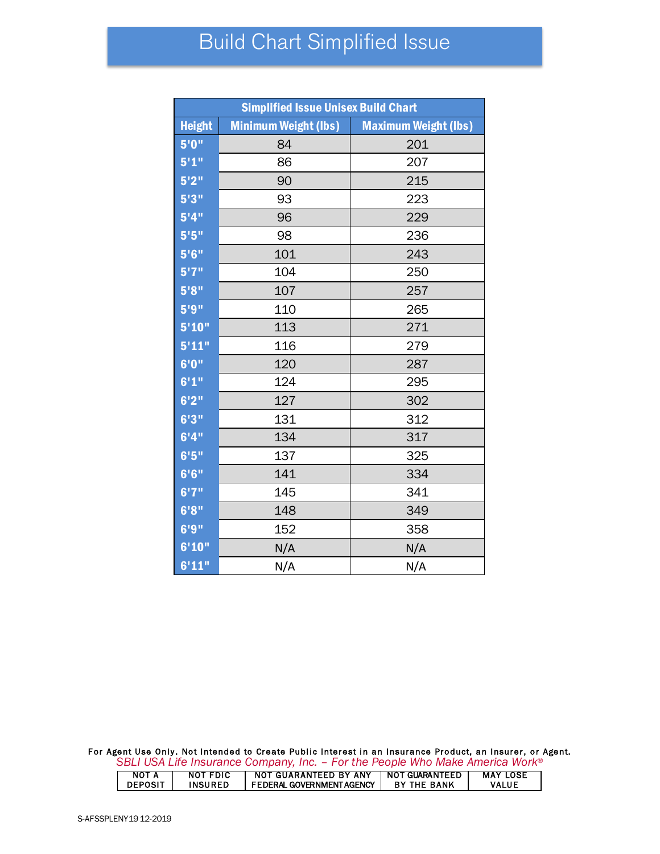## Build Chart Simplified Issue

| <b>Simplified Issue Unisex Build Chart</b> |                             |                             |  |  |  |  |
|--------------------------------------------|-----------------------------|-----------------------------|--|--|--|--|
| <b>Height</b>                              | <b>Minimum Weight (lbs)</b> | <b>Maximum Weight (lbs)</b> |  |  |  |  |
| 5'0''                                      | 84                          | 201                         |  |  |  |  |
| 5'1''                                      | 86                          | 207                         |  |  |  |  |
| 5'2''                                      | 90                          | 215                         |  |  |  |  |
| 5'3''                                      | 93                          | 223                         |  |  |  |  |
| 5'4''                                      | 96                          | 229                         |  |  |  |  |
| 5'5''                                      | 98                          | 236                         |  |  |  |  |
| 5'6''                                      | 101                         | 243                         |  |  |  |  |
| 5'7''                                      | 104                         | 250                         |  |  |  |  |
| 5'8''                                      | 107                         | 257                         |  |  |  |  |
| 5'9''                                      | 110                         | 265                         |  |  |  |  |
| 5'10''                                     | 113                         | 271                         |  |  |  |  |
| 5'11"                                      | 116                         | 279                         |  |  |  |  |
| 6'0''                                      | 120                         | 287                         |  |  |  |  |
| 6'1''                                      | 124                         | 295                         |  |  |  |  |
| 6'2''                                      | 127                         | 302                         |  |  |  |  |
| 6'3''                                      | 131                         | 312                         |  |  |  |  |
| 6'4''                                      | 134                         | 317                         |  |  |  |  |
| 6'5''                                      | 137                         | 325                         |  |  |  |  |
| 6'6''                                      | 141                         | 334                         |  |  |  |  |
| $\overline{6'7}$ "                         | 145                         | 341                         |  |  |  |  |
| 6'8''                                      | 148                         | 349                         |  |  |  |  |
| 6'9''                                      | 152                         | 358                         |  |  |  |  |
| 6'10"                                      | N/A                         | N/A                         |  |  |  |  |
| 6'11"                                      | N/A                         | N/A                         |  |  |  |  |

For Agent Use Only. Not Intended to Create Public Interest in an Insurance Product, an Insurer, or Agent. *SBLI USA Life Insurance Company, Inc. – For the People Who Make America Work®*

| NOT A          | NOT FDIC | NOT GUARANTEED BY ANY     | NOT GUARANTEED     | <b>MAY LOSE</b> |
|----------------|----------|---------------------------|--------------------|-----------------|
| <b>DEPOSIT</b> | INSURED  | FEDERAL GOVERNMENT AGENCY | <b>BY THE BANK</b> | <b>VALUE</b>    |